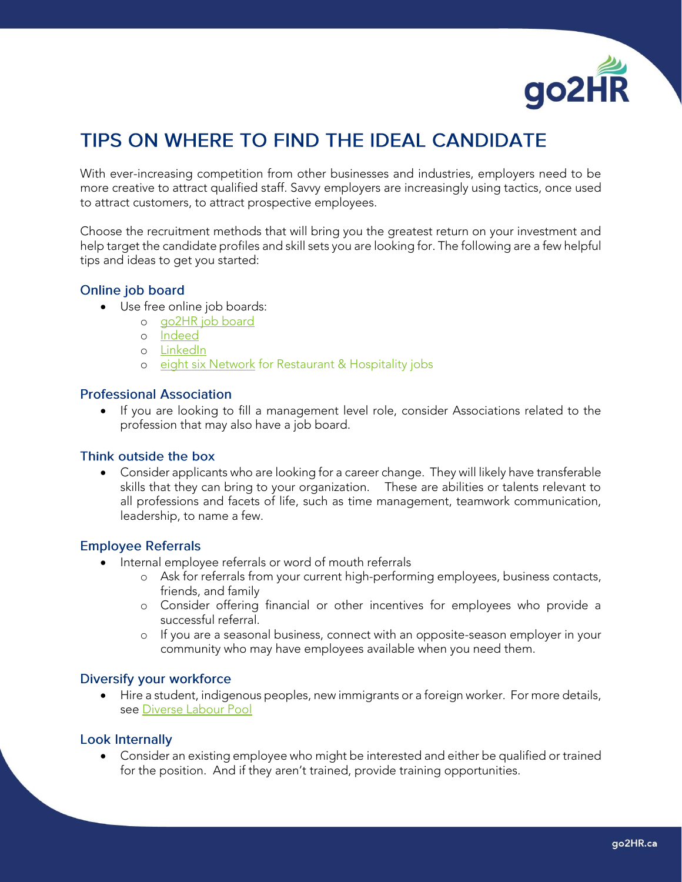

# TIPS ON WHERE TO FIND THE IDEAL CANDIDATE

With ever-increasing competition from other businesses and industries, employers need to be more creative to attract qualified staff. Savvy employers are increasingly using tactics, once used to attract customers, to attract prospective employees.

Choose the recruitment methods that will bring you the greatest return on your investment and help target the candidate profiles and skill sets you are looking for. The following are a few helpful tips and ideas to get you started:

### Online job board

- Use free online job boards:
	- o [go2HR job board](https://www.go2hr.ca/jobs)
	- o [Indeed](https://ca.indeed.com/)
	- o [LinkedIn](https://www.linkedin.com/jobs)
	- o [eight six Network](https://www.86network.com/) for Restaurant & Hospitality jobs

#### **Professional Association**

• If you are looking to fill a management level role, consider Associations related to the profession that may also have a job board.

#### Think outside the box

• Consider applicants who are looking for a career change. They will likely have transferable skills that they can bring to your organization. These are abilities or talents relevant to all professions and facets of life, such as time management, teamwork communication, leadership, to name a few.

#### **Employee Referrals**

- Internal employee referrals or word of mouth referrals
	- o Ask for referrals from your current high-performing employees, business contacts, friends, and family
	- o Consider offering financial or other incentives for employees who provide a successful referral.
	- o If you are a seasonal business, connect with an opposite-season employer in your community who may have employees available when you need them.

#### Diversify your workforce

• Hire a student, indigenous peoples, new immigrants or a foreign worker. For more details, see [Diverse Labour Pool](https://www.go2hr.ca/category/recruitment/diverse-labour-pools)

#### **Look Internally**

• Consider an existing employee who might be interested and either be qualified or trained for the position. And if they aren't trained, provide training opportunities.